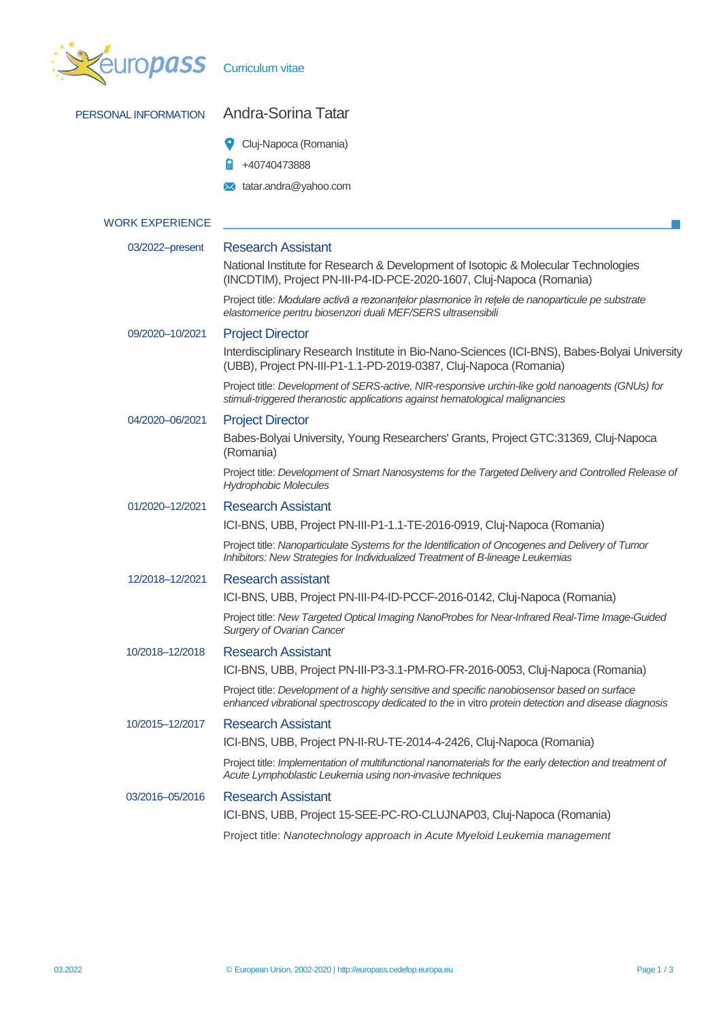| pass                   | <b>Curriculum vitae</b>                                                                                                                                                                             |
|------------------------|-----------------------------------------------------------------------------------------------------------------------------------------------------------------------------------------------------|
| PERSONAL INFORMATION   | Andra-Sorina Tatar                                                                                                                                                                                  |
|                        | Cluj-Napoca (Romania)                                                                                                                                                                               |
|                        | +40740473888                                                                                                                                                                                        |
|                        | tatar.andra@yahoo.com                                                                                                                                                                               |
|                        |                                                                                                                                                                                                     |
| <b>WORK EXPERIENCE</b> |                                                                                                                                                                                                     |
| 03/2022-present        | <b>Research Assistant</b>                                                                                                                                                                           |
|                        | National Institute for Research & Development of Isotopic & Molecular Technologies<br>(INCDTIM), Project PN-III-P4-ID-PCE-2020-1607, Cluj-Napoca (Romania)                                          |
|                        | Project title: Modulare activă a rezonanțelor plasmonice în rețele de nanoparticule pe substrate<br>elastomerice pentru biosenzori duali MEF/SERS ultrasensibili                                    |
| 09/2020-10/2021        | <b>Project Director</b>                                                                                                                                                                             |
|                        | Interdisciplinary Research Institute in Bio-Nano-Sciences (ICI-BNS), Babes-Bolyai University<br>(UBB), Project PN-III-P1-1.1-PD-2019-0387, Cluj-Napoca (Romania)                                    |
|                        | Project title: Development of SERS-active, NIR-responsive urchin-like gold nanoagents (GNUs) for<br>stimuli-triggered theranostic applications against hematological malignancies                   |
| 04/2020-06/2021        | <b>Project Director</b>                                                                                                                                                                             |
|                        | Babes-Bolyai University, Young Researchers' Grants, Project GTC:31369, Cluj-Napoca<br>(Romania)                                                                                                     |
|                        | Project title: Development of Smart Nanosystems for the Targeted Delivery and Controlled Release of<br><b>Hydrophobic Molecules</b>                                                                 |
| 01/2020-12/2021        | <b>Research Assistant</b>                                                                                                                                                                           |
|                        | ICI-BNS, UBB, Project PN-III-P1-1.1-TE-2016-0919, Cluj-Napoca (Romania)                                                                                                                             |
|                        | Project title: Nanoparticulate Systems for the Identification of Oncogenes and Delivery of Tumor<br>Inhibitors: New Strategies for Individualized Treatment of B-lineage Leukemias                  |
| 12/2018-12/2021        | <b>Research assistant</b>                                                                                                                                                                           |
|                        | ICI-BNS, UBB, Project PN-III-P4-ID-PCCF-2016-0142, Cluj-Napoca (Romania)                                                                                                                            |
|                        | Project title: New Targeted Optical Imaging NanoProbes for Near-Infrared Real-Time Image-Guided<br><b>Surgery of Ovarian Cancer</b>                                                                 |
| 10/2018-12/2018        | <b>Research Assistant</b><br>ICI-BNS, UBB, Project PN-III-P3-3.1-PM-RO-FR-2016-0053, Cluj-Napoca (Romania)                                                                                          |
|                        | Project title: Development of a highly sensitive and specific nanobiosensor based on surface<br>enhanced vibrational spectroscopy dedicated to the in vitro protein detection and disease diagnosis |
| 10/2015-12/2017        | <b>Research Assistant</b>                                                                                                                                                                           |
|                        | ICI-BNS, UBB, Project PN-II-RU-TE-2014-4-2426, Cluj-Napoca (Romania)                                                                                                                                |
|                        | Project title: Implementation of multifunctional nanomaterials for the early detection and treatment of<br>Acute Lymphoblastic Leukemia using non-invasive techniques                               |
| 03/2016-05/2016        | <b>Research Assistant</b>                                                                                                                                                                           |
|                        | ICI-BNS, UBB, Project 15-SEE-PC-RO-CLUJNAP03, Cluj-Napoca (Romania)                                                                                                                                 |
|                        | Project title: Nanotechnology approach in Acute Myeloid Leukemia management                                                                                                                         |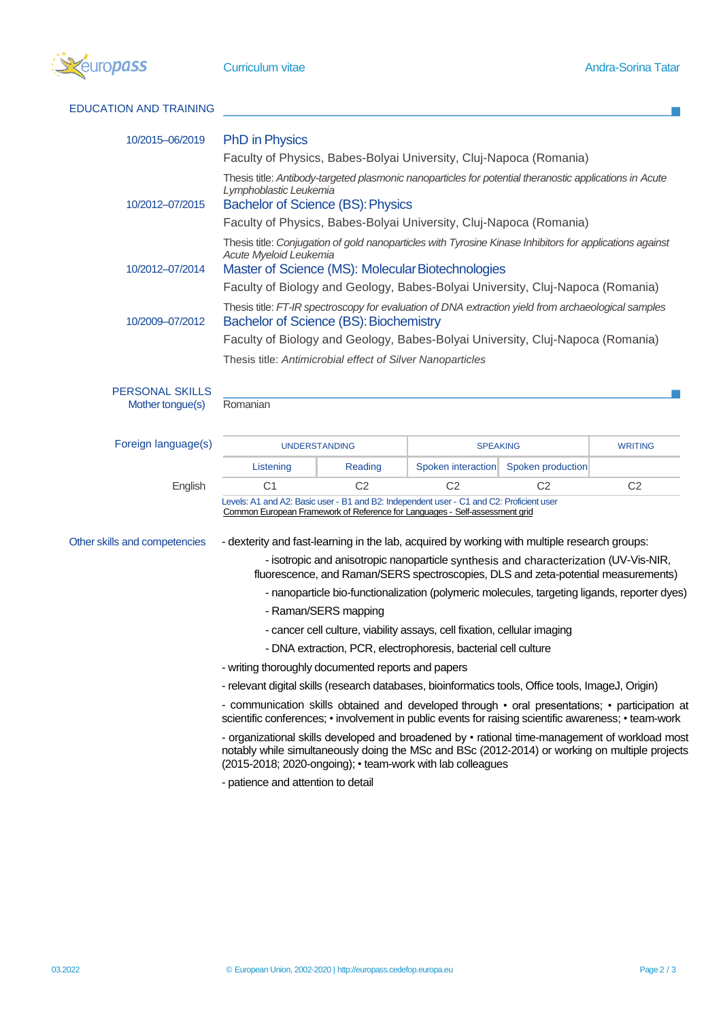

| <b>EDUCATION AND TRAINING</b>                                                                                                                                                                                                                                                                                                                                                                                                                                                                                       |                                                                                                                                                                                                                                                     |                |                                                                                      |                   |                |  |  |                                                                                                                                                                                                                                                                |                                                                                                                                                                                                                    |  |  |  |  |
|---------------------------------------------------------------------------------------------------------------------------------------------------------------------------------------------------------------------------------------------------------------------------------------------------------------------------------------------------------------------------------------------------------------------------------------------------------------------------------------------------------------------|-----------------------------------------------------------------------------------------------------------------------------------------------------------------------------------------------------------------------------------------------------|----------------|--------------------------------------------------------------------------------------|-------------------|----------------|--|--|----------------------------------------------------------------------------------------------------------------------------------------------------------------------------------------------------------------------------------------------------------------|--------------------------------------------------------------------------------------------------------------------------------------------------------------------------------------------------------------------|--|--|--|--|
| 10/2015-06/2019                                                                                                                                                                                                                                                                                                                                                                                                                                                                                                     | <b>PhD</b> in Physics                                                                                                                                                                                                                               |                |                                                                                      |                   |                |  |  |                                                                                                                                                                                                                                                                |                                                                                                                                                                                                                    |  |  |  |  |
|                                                                                                                                                                                                                                                                                                                                                                                                                                                                                                                     | Faculty of Physics, Babes-Bolyai University, Cluj-Napoca (Romania)                                                                                                                                                                                  |                |                                                                                      |                   |                |  |  |                                                                                                                                                                                                                                                                |                                                                                                                                                                                                                    |  |  |  |  |
| 10/2012-07/2015                                                                                                                                                                                                                                                                                                                                                                                                                                                                                                     | Thesis title: Antibody-targeted plasmonic nanoparticles for potential theranostic applications in Acute<br>Lymphoblastic Leukemia<br><b>Bachelor of Science (BS): Physics</b><br>Faculty of Physics, Babes-Bolyai University, Cluj-Napoca (Romania) |                |                                                                                      |                   |                |  |  |                                                                                                                                                                                                                                                                |                                                                                                                                                                                                                    |  |  |  |  |
|                                                                                                                                                                                                                                                                                                                                                                                                                                                                                                                     | Thesis title: Conjugation of gold nanoparticles with Tyrosine Kinase Inhibitors for applications against                                                                                                                                            |                |                                                                                      |                   |                |  |  |                                                                                                                                                                                                                                                                |                                                                                                                                                                                                                    |  |  |  |  |
| 10/2012-07/2014                                                                                                                                                                                                                                                                                                                                                                                                                                                                                                     | Acute Myeloid Leukemia<br>Master of Science (MS): Molecular Biotechnologies                                                                                                                                                                         |                |                                                                                      |                   |                |  |  |                                                                                                                                                                                                                                                                |                                                                                                                                                                                                                    |  |  |  |  |
|                                                                                                                                                                                                                                                                                                                                                                                                                                                                                                                     | Faculty of Biology and Geology, Babes-Bolyai University, Cluj-Napoca (Romania)                                                                                                                                                                      |                |                                                                                      |                   |                |  |  |                                                                                                                                                                                                                                                                |                                                                                                                                                                                                                    |  |  |  |  |
| 10/2009-07/2012                                                                                                                                                                                                                                                                                                                                                                                                                                                                                                     | Thesis title: FT-IR spectroscopy for evaluation of DNA extraction yield from archaeological samples<br><b>Bachelor of Science (BS): Biochemistry</b>                                                                                                |                |                                                                                      |                   |                |  |  |                                                                                                                                                                                                                                                                |                                                                                                                                                                                                                    |  |  |  |  |
|                                                                                                                                                                                                                                                                                                                                                                                                                                                                                                                     | Faculty of Biology and Geology, Babes-Bolyai University, Cluj-Napoca (Romania)                                                                                                                                                                      |                |                                                                                      |                   |                |  |  |                                                                                                                                                                                                                                                                |                                                                                                                                                                                                                    |  |  |  |  |
|                                                                                                                                                                                                                                                                                                                                                                                                                                                                                                                     | Thesis title: Antimicrobial effect of Silver Nanoparticles                                                                                                                                                                                          |                |                                                                                      |                   |                |  |  |                                                                                                                                                                                                                                                                |                                                                                                                                                                                                                    |  |  |  |  |
| <b>PERSONAL SKILLS</b>                                                                                                                                                                                                                                                                                                                                                                                                                                                                                              |                                                                                                                                                                                                                                                     |                |                                                                                      |                   |                |  |  |                                                                                                                                                                                                                                                                |                                                                                                                                                                                                                    |  |  |  |  |
| Mother tongue(s)                                                                                                                                                                                                                                                                                                                                                                                                                                                                                                    | Romanian                                                                                                                                                                                                                                            |                |                                                                                      |                   |                |  |  |                                                                                                                                                                                                                                                                |                                                                                                                                                                                                                    |  |  |  |  |
|                                                                                                                                                                                                                                                                                                                                                                                                                                                                                                                     |                                                                                                                                                                                                                                                     |                |                                                                                      |                   |                |  |  |                                                                                                                                                                                                                                                                |                                                                                                                                                                                                                    |  |  |  |  |
| Foreign language(s)                                                                                                                                                                                                                                                                                                                                                                                                                                                                                                 | <b>UNDERSTANDING</b>                                                                                                                                                                                                                                |                | <b>SPEAKING</b>                                                                      |                   | <b>WRITING</b> |  |  |                                                                                                                                                                                                                                                                |                                                                                                                                                                                                                    |  |  |  |  |
|                                                                                                                                                                                                                                                                                                                                                                                                                                                                                                                     | Listening                                                                                                                                                                                                                                           | Reading        | Spoken interaction                                                                   | Spoken production |                |  |  |                                                                                                                                                                                                                                                                |                                                                                                                                                                                                                    |  |  |  |  |
| English                                                                                                                                                                                                                                                                                                                                                                                                                                                                                                             | C <sub>1</sub>                                                                                                                                                                                                                                      | C <sub>2</sub> | C <sub>2</sub>                                                                       | C <sub>2</sub>    | C <sub>2</sub> |  |  |                                                                                                                                                                                                                                                                |                                                                                                                                                                                                                    |  |  |  |  |
|                                                                                                                                                                                                                                                                                                                                                                                                                                                                                                                     | Levels: A1 and A2: Basic user - B1 and B2: Independent user - C1 and C2: Proficient user<br>Common European Framework of Reference for Languages - Self-assessment grid                                                                             |                |                                                                                      |                   |                |  |  |                                                                                                                                                                                                                                                                |                                                                                                                                                                                                                    |  |  |  |  |
|                                                                                                                                                                                                                                                                                                                                                                                                                                                                                                                     |                                                                                                                                                                                                                                                     |                |                                                                                      |                   |                |  |  |                                                                                                                                                                                                                                                                |                                                                                                                                                                                                                    |  |  |  |  |
| Other skills and competencies                                                                                                                                                                                                                                                                                                                                                                                                                                                                                       | - dexterity and fast-learning in the lab, acquired by working with multiple research groups:                                                                                                                                                        |                |                                                                                      |                   |                |  |  |                                                                                                                                                                                                                                                                |                                                                                                                                                                                                                    |  |  |  |  |
|                                                                                                                                                                                                                                                                                                                                                                                                                                                                                                                     |                                                                                                                                                                                                                                                     |                | - isotropic and anisotropic nanoparticle synthesis and characterization (UV-Vis-NIR, |                   |                |  |  |                                                                                                                                                                                                                                                                |                                                                                                                                                                                                                    |  |  |  |  |
| fluorescence, and Raman/SERS spectroscopies, DLS and zeta-potential measurements)<br>- nanoparticle bio-functionalization (polymeric molecules, targeting ligands, reporter dyes)<br>- Raman/SERS mapping<br>- cancer cell culture, viability assays, cell fixation, cellular imaging<br>- DNA extraction, PCR, electrophoresis, bacterial cell culture<br>- writing thoroughly documented reports and papers<br>- relevant digital skills (research databases, bioinformatics tools, Office tools, ImageJ, Origin) |                                                                                                                                                                                                                                                     |                |                                                                                      |                   |                |  |  |                                                                                                                                                                                                                                                                |                                                                                                                                                                                                                    |  |  |  |  |
|                                                                                                                                                                                                                                                                                                                                                                                                                                                                                                                     |                                                                                                                                                                                                                                                     |                |                                                                                      |                   |                |  |  |                                                                                                                                                                                                                                                                | - communication skills obtained and developed through $\cdot$ oral presentations; $\cdot$ participation at<br>scientific conferences; • involvement in public events for raising scientific awareness; • team-work |  |  |  |  |
|                                                                                                                                                                                                                                                                                                                                                                                                                                                                                                                     |                                                                                                                                                                                                                                                     |                |                                                                                      |                   |                |  |  | - organizational skills developed and broadened by • rational time-management of workload most<br>notably while simultaneously doing the MSc and BSc (2012-2014) or working on multiple projects<br>(2015-2018; 2020-ongoing); • team-work with lab colleagues |                                                                                                                                                                                                                    |  |  |  |  |
|                                                                                                                                                                                                                                                                                                                                                                                                                                                                                                                     |                                                                                                                                                                                                                                                     |                |                                                                                      |                   |                |  |  | - patience and attention to detail                                                                                                                                                                                                                             |                                                                                                                                                                                                                    |  |  |  |  |